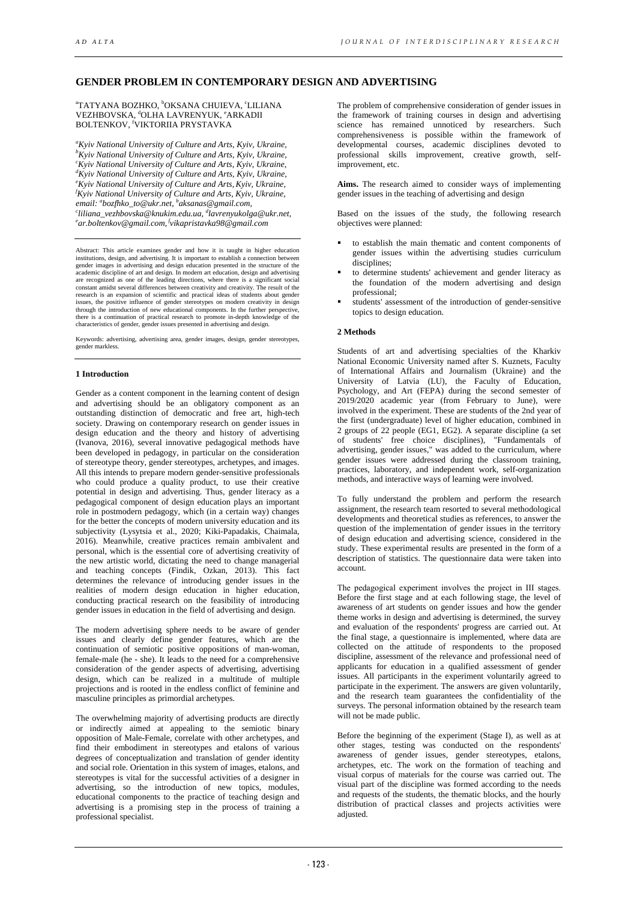# **GENDER PROBLEM IN CONTEMPORARY DESIGN AND ADVERTISING**

<sup>a</sup>TATYANA BOZHKO, <sup>b</sup>OKSANA CHUIEVA, ʿLILIANA VEZHBOVSKA, <sup>d</sup>OLHA LAVRENYUK, <sup>e</sup>ARKADII BOLTENKOV, <sup>f</sup>VIKTORIIA PRYSTAVKA

*a Kyiv National University of Culture and Arts, Kyiv, Ukraine, b Kyiv National University of Culture and Arts, Kyiv, Ukraine, c Kyiv National University of Culture and Arts, Kyiv, Ukraine, d Kyiv National University of Culture and Arts, Kyiv, Ukraine, e Kyiv National University of Culture and Arts,Kyiv, Ukraine, f Kyiv National University of Culture and Arts, Kyiv, Ukraine, email: a bozfhko\_to@ukr.net, b aksanas@gmail.com, c liliana\_vezhbovska@knukim.edu.ua, d lavrenyukolga@ukr.net, e ar.boltenkov@gmail.com, fvikapristavka98@gmail.com* 

Abstract: This article examines gender and how it is taught in higher education institutions, design, and advertising. It is important to establish a connection between gender images in advertising and design education presented in the structure of the academic discipline of art and design. In modern art education, design and advertising are recognized as one of the leading directions, where there is a significant social constant amidst several differences between creativity and creativity. The result of the research is an expansion of scientific and practical ideas of students about gender issues, the positive influence of gender stereotypes on modern creativity in design through the introduction of new educational components. In the further perspective, there is a continuation of practical research to promote in-depth knowledge of the characteristics of gender, gender issues presented in advertising and design.

Keywords: advertising, advertising area, gender images, design, gender stereotypes, gender markless.

### **1 Introduction**

Gender as a content component in the learning content of design and advertising should be an obligatory component as an outstanding distinction of democratic and free art, high-tech society. Drawing on contemporary research on gender issues in design education and the theory and history of advertising (Ivanova, 2016), several innovative pedagogical methods have been developed in pedagogy, in particular on the consideration of stereotype theory, gender stereotypes, archetypes, and images. All this intends to prepare modern gender-sensitive professionals who could produce a quality product, to use their creative potential in design and advertising. Thus, gender literacy as a pedagogical component of design education plays an important role in postmodern pedagogy, which (in a certain way) changes for the better the concepts of modern university education and its subjectivity (Lysytsia et al., 2020; Kiki-Papadakis, Chaimala, 2016). Meanwhile, creative practices remain ambivalent and personal, which is the essential core of advertising creativity of the new artistic world, dictating the need to change managerial and teaching concepts (Findik, Ozkan, 2013). This fact determines the relevance of introducing gender issues in the realities of modern design education in higher education, conducting practical research on the feasibility of introducing gender issues in education in the field of advertising and design.

The modern advertising sphere needs to be aware of gender issues and clearly define gender features, which are the continuation of semiotic positive oppositions of man-woman, female-male (he - she). It leads to the need for a comprehensive consideration of the gender aspects of advertising, advertising design, which can be realized in a multitude of multiple projections and is rooted in the endless conflict of feminine and masculine principles as primordial archetypes.

The overwhelming majority of advertising products are directly or indirectly aimed at appealing to the semiotic binary opposition of Male-Female, correlate with other archetypes, and find their embodiment in stereotypes and etalons of various degrees of conceptualization and translation of gender identity and social role. Orientation in this system of images, etalons, and stereotypes is vital for the successful activities of a designer in advertising, so the introduction of new topics, modules, educational components to the practice of teaching design and advertising is a promising step in the process of training a professional specialist.

The problem of comprehensive consideration of gender issues in the framework of training courses in design and advertising science has remained unnoticed by researchers. Such comprehensiveness is possible within the framework of developmental courses, academic disciplines devoted to professional skills improvement, creative growth, selfimprovement, etc.

**Aims.** The research aimed to consider ways of implementing gender issues in the teaching of advertising and design

Based on the issues of the study, the following research objectives were planned:

- to establish the main thematic and content components of gender issues within the advertising studies curriculum disciplines:
- to determine students' achievement and gender literacy as the foundation of the modern advertising and design professional;
- students' assessment of the introduction of gender-sensitive topics to design education.

#### **2 Methods**

Students of art and advertising specialties of the Kharkiv National Economic University named after S. Kuznets, Faculty of International Affairs and Journalism (Ukraine) and the University of Latvia (LU), the Faculty of Education, Psychology, and Art (FEPA) during the second semester of 2019/2020 academic year (from February to June), were involved in the experiment. These are students of the 2nd year of the first (undergraduate) level of higher education, combined in 2 groups of 22 people (EG1, EG2). A separate discipline (a set of students' free choice disciplines), "Fundamentals of advertising, gender issues," was added to the curriculum, where gender issues were addressed during the classroom training, practices, laboratory, and independent work, self-organization methods, and interactive ways of learning were involved.

To fully understand the problem and perform the research assignment, the research team resorted to several methodological developments and theoretical studies as references, to answer the question of the implementation of gender issues in the territory of design education and advertising science, considered in the study. These experimental results are presented in the form of a description of statistics. The questionnaire data were taken into account.

The pedagogical experiment involves the project in ІІІ stages. Before the first stage and at each following stage, the level of awareness of art students on gender issues and how the gender theme works in design and advertising is determined, the survey and evaluation of the respondents' progress are carried out. At the final stage, a questionnaire is implemented, where data are collected on the attitude of respondents to the proposed discipline, assessment of the relevance and professional need of applicants for education in a qualified assessment of gender issues. All participants in the experiment voluntarily agreed to participate in the experiment. The answers are given voluntarily, and the research team guarantees the confidentiality of the surveys. The personal information obtained by the research team will not be made public.

Before the beginning of the experiment (Stage I), as well as at other stages, testing was conducted on the respondents' awareness of gender issues, gender stereotypes, etalons, archetypes, etc. The work on the formation of teaching and visual corpus of materials for the course was carried out. The visual part of the discipline was formed according to the needs and requests of the students, the thematic blocks, and the hourly distribution of practical classes and projects activities were adjusted.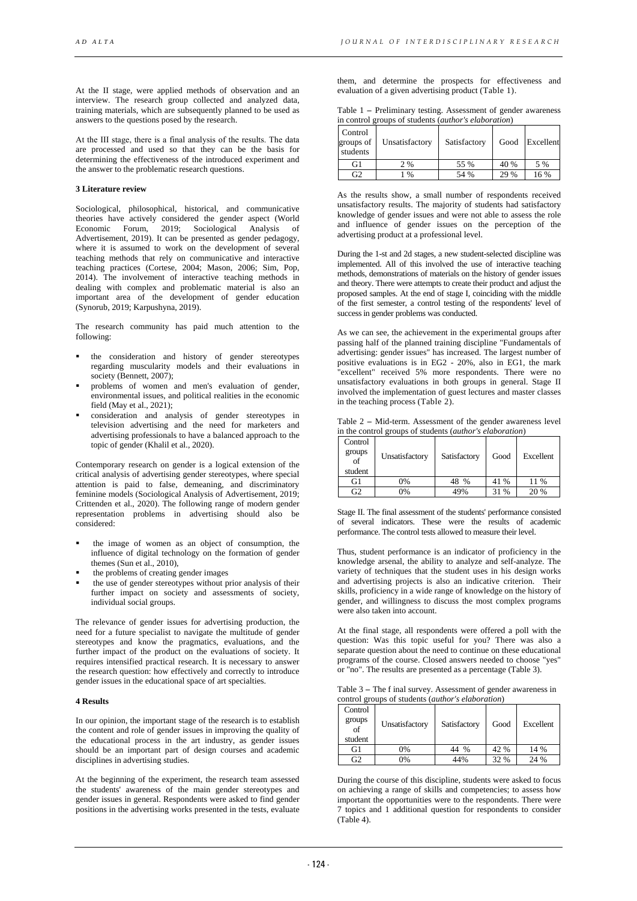At the II stage, were applied methods of observation and an interview. The research group collected and analyzed data, training materials, which are subsequently planned to be used as answers to the questions posed by the research.

At the ІІІ stage, there is a final analysis of the results. The data are processed and used so that they can be the basis for determining the effectiveness of the introduced experiment and the answer to the problematic research questions.

#### **3 Literature review**

Sociological, philosophical, historical, and communicative theories have actively considered the gender aspect (World Economic Forum, 2019; Sociological Analysis of 2019; Sociological Analysis of Advertisement, 2019). It can be presented as gender pedagogy, where it is assumed to work on the development of several teaching methods that rely on communicative and interactive teaching practices (Cortese, 2004; Mason, 2006; Sim, Pop, 2014). The involvement of interactive teaching methods in dealing with complex and problematic material is also an important area of the development of gender education (Synorub, 2019; Karpushyna, 2019).

The research community has paid much attention to the following:

- the consideration and history of gender stereotypes regarding muscularity models and their evaluations in society (Bennett, 2007);
- problems of women and men's evaluation of gender, environmental issues, and political realities in the economic field (May et al., 2021);
- consideration and analysis of gender stereotypes in television advertising and the need for marketers and advertising professionals to have a balanced approach to the topic of gender (Khalil et al., 2020).

Contemporary research on gender is a logical extension of the critical analysis of advertising gender stereotypes, where special attention is paid to false, demeaning, and discriminatory feminine models (Sociological Analysis of Advertisement, 2019; Crittenden et al., 2020). The following range of modern gender representation problems in advertising should also be considered:

- the image of women as an object of consumption, the influence of digital technology on the formation of gender themes (Sun et al., 2010),
- the problems of creating gender images
- the use of gender stereotypes without prior analysis of their further impact on society and assessments of society, individual social groups.

The relevance of gender issues for advertising production, the need for a future specialist to navigate the multitude of gender stereotypes and know the pragmatics, evaluations, and the further impact of the product on the evaluations of society. It requires intensified practical research. It is necessary to answer the research question: how effectively and correctly to introduce gender issues in the educational space of art specialties.

## **4 Results**

In our opinion, the important stage of the research is to establish the content and role of gender issues in improving the quality of the educational process in the art industry, as gender issues should be an important part of design courses and academic disciplines in advertising studies.

At the beginning of the experiment, the research team assessed the students' awareness of the main gender stereotypes and gender issues in general. Respondents were asked to find gender positions in the advertising works presented in the tests, evaluate

them, and determine the prospects for effectiveness and evaluation of a given advertising product (Table 1).

| Table 1 – Preliminary testing. Assessment of gender awareness |  |
|---------------------------------------------------------------|--|
| in control groups of students ( <i>author's elaboration</i> ) |  |

| Control<br>groups of<br>students | Unsatisfactory | Satisfactory | Good | Excellent |
|----------------------------------|----------------|--------------|------|-----------|
| G1                               | 2%             | 55 %         | 40 % | 5 %       |
| Ŧ                                | $\frac{0}{0}$  | 54 %         | 29 % | 16 %      |

As the results show, a small number of respondents received unsatisfactory results. The majority of students had satisfactory knowledge of gender issues and were not able to assess the role and influence of gender issues on the perception of the advertising product at a professional level.

During the 1-st and 2d stages, a new student-selected discipline was implemented. All of this involved the use of interactive teaching methods, demonstrations of materials on the history of gender issues and theory. There were attempts to create their product and adjust the proposed samples. At the end of stage I, coinciding with the middle of the first semester, a control testing of the respondents' level of success in gender problems was conducted.

As we can see, the achievement in the experimental groups after passing half of the planned training discipline "Fundamentals of advertising: gender issues" has increased. The largest number of positive evaluations is in EG2 - 20%, also in EG1, the mark "excellent" received 5% more respondents. There were no unsatisfactory evaluations in both groups in general. Stage II involved the implementation of guest lectures and master classes in the teaching process (Table 2).

Table 2 **–** Mid-term. Assessment of the gender awareness level in the control groups of students (*author's elaboration*)

| Control<br>groups<br>$\sigma$ f<br>student | Unsatisfactory | Satisfactory | Good | Excellent |
|--------------------------------------------|----------------|--------------|------|-----------|
| G1                                         | 0%             | 48 %         | 41 % | 11 %      |
| G2                                         | 0%             | 49%          | 31 % | 20 %      |

Stage II. The final assessment of the students' performance consisted of several indicators. These were the results of academic performance. The control tests allowed to measure their level.

Thus, student performance is an indicator of proficiency in the knowledge arsenal, the ability to analyze and self-analyze. The variety of techniques that the student uses in his design works and advertising projects is also an indicative criterion. Their skills, proficiency in a wide range of knowledge on the history of gender, and willingness to discuss the most complex programs were also taken into account.

At the final stage, all respondents were offered a poll with the question: Was this topic useful for you? There was also a separate question about the need to continue on these educational programs of the course. Closed answers needed to choose "yes" or "no". The results are presented as a percentage (Table 3).

Table 3 **–** The f inal survey. Assessment of gender awareness in control groups of students (*author's elaboration*)

| Control      |                |               |      |           |
|--------------|----------------|---------------|------|-----------|
| groups<br>of | Unsatisfactory | Satisfactory  | Good | Excellent |
| student      |                |               |      |           |
| G1           | 0%             | $\frac{0}{0}$ | 42 % | 14 %      |
| 32           | 0%             | 44%           | 32 % | 24 %      |

During the course of this discipline, students were asked to focus on achieving a range of skills and competencies; to assess how important the opportunities were to the respondents. There were 7 topics and 1 additional question for respondents to consider (Table 4).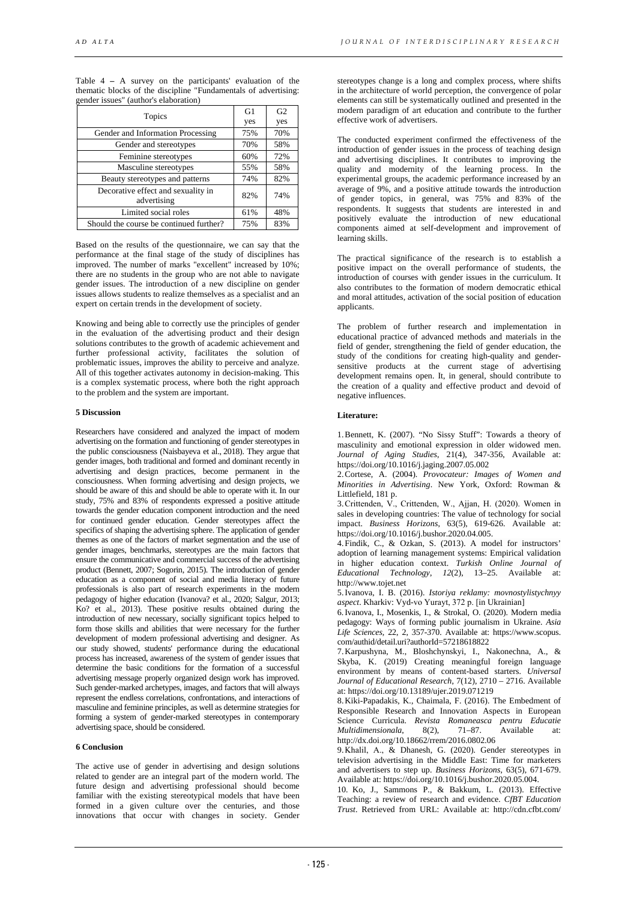Table 4 **–** A survey on the participants' evaluation of the thematic blocks of the discipline "Fundamentals of advertising: gender issues" (author's elaboration)

| Topics                                            | G1  | G <sub>2</sub> |
|---------------------------------------------------|-----|----------------|
|                                                   | yes | yes            |
| Gender and Information Processing                 | 75% | 70%            |
| Gender and stereotypes                            | 70% | 58%            |
| Feminine stereotypes                              | 60% | 72%            |
| Masculine stereotypes                             | 55% | 58%            |
| Beauty stereotypes and patterns                   | 74% | 82%            |
| Decorative effect and sexuality in<br>advertising | 82% | 74%            |
| Limited social roles                              | 61% | 48%            |
| Should the course be continued further?           | 75% | 83%            |

Based on the results of the questionnaire, we can say that the performance at the final stage of the study of disciplines has improved. The number of marks "excellent" increased by 10%; there are no students in the group who are not able to navigate gender issues. The introduction of a new discipline on gender issues allows students to realize themselves as a specialist and an expert on certain trends in the development of society.

Knowing and being able to correctly use the principles of gender in the evaluation of the advertising product and their design solutions contributes to the growth of academic achievement and further professional activity, facilitates the solution of problematic issues, improves the ability to perceive and analyze. All of this together activates autonomy in decision-making. This is a complex systematic process, where both the right approach to the problem and the system are important.

## **5 Discussion**

Researchers have considered and analyzed the impact of modern advertising on the formation and functioning of gender stereotypes in the public consciousness (Naisbayeva et al., 2018). They argue that gender images, both traditional and formed and dominant recently in advertising and design practices, become permanent in the consciousness. When forming advertising and design projects, we should be aware of this and should be able to operate with it. In our study, 75% and 83% of respondents expressed a positive attitude towards the gender education component introduction and the need for continued gender education. Gender stereotypes affect the specifics of shaping the advertising sphere. The application of gender themes as one of the factors of market segmentation and the use of gender images, benchmarks, stereotypes are the main factors that ensure the communicative and commercial success of the advertising product (Bennett, 2007; Sogorin, 2015). The introduction of gender education as a component of social and media literacy of future professionals is also part of research experiments in the modern pedagogy of higher education (Ivanova? et al., 2020; Salgur, 2013; Ko? et al., 2013). These positive results obtained during the introduction of new necessary, socially significant topics helped to form those skills and abilities that were necessary for the further development of modern professional advertising and designer. As our study showed, students' performance during the educational process has increased, awareness of the system of gender issues that determine the basic conditions for the formation of a successful advertising message properly organized design work has improved. Such gender-marked archetypes, images, and factors that will always represent the endless correlations, confrontations, and interactions of masculine and feminine principles, as well as determine strategies for forming a system of gender-marked stereotypes in contemporary advertising space, should be considered.

## **6 Conclusion**

The active use of gender in advertising and design solutions related to gender are an integral part of the modern world. The future design and advertising professional should become familiar with the existing stereotypical models that have been formed in a given culture over the centuries, and those innovations that occur with changes in society. Gender

stereotypes change is a long and complex process, where shifts in the architecture of world perception, the convergence of polar elements can still be systematically outlined and presented in the modern paradigm of art education and contribute to the further effective work of advertisers.

The conducted experiment confirmed the effectiveness of the introduction of gender issues in the process of teaching design and advertising disciplines. It contributes to improving the quality and modernity of the learning process. In the experimental groups, the academic performance increased by an average of 9%, and a positive attitude towards the introduction of gender topics, in general, was 75% and 83% of the respondents. It suggests that students are interested in and positively evaluate the introduction of new educational components aimed at self-development and improvement of learning skills.

The practical significance of the research is to establish a positive impact on the overall performance of students, the introduction of courses with gender issues in the curriculum. It also contributes to the formation of modern democratic ethical and moral attitudes, activation of the social position of education applicants.

The problem of further research and implementation in educational practice of advanced methods and materials in the field of gender, strengthening the field of gender education, the study of the conditions for creating high-quality and gendersensitive products at the current stage of advertising development remains open. It, in general, should contribute to the creation of a quality and effective product and devoid of negative influences.

## **Literature:**

1.Bennett, K. (2007). "No Sissy Stuff": Towards a theory of masculinity and emotional expression in older widowed men. *Journal of Aging Studies*, 21(4), 347-356, Available at: https://doi.org/10.1016/j.jaging.2007.05.002

2.Cortese, A. (2004). *Provocateur: Images of Women and Minorities in Advertising*. New York, Oxford: Rowman & Littlefield, 181 p.

3.Crittenden, V., Crittenden, W., Ajjan, Н. (2020). Women in sales in developing countries: The value of technology for social impact. *Business Horizons*, 63(5), 619-626. Available at: https://doi.org/10.1016/j.bushor.2020.04.005.

4.Findik, C., & Ozkan, S. (2013). A model for instructors' adoption of learning management systems: Empirical validation in higher education context. *Turkish Online Journal of Educational Technology*, *12*(2), 13–25. Available at: http://www.tojet.net

5.Ivanova, I. B. (2016). *Istoriya reklamy: movnostylistychnyy aspect*. Kharkiv: Vyd-vo Yurayt, 372 р. [in Ukrainian]

6.Ivanova, I., Mosenkis, I., & Strokal, O. (2020). Modern media pedagogy: Ways of forming public journalism in Ukraine. *Asia Life Sciences,* 22, 2, 357-370. Available at: https://www.scopus. com/authid/detail.uri?authorId=57218618822

7.Karpushyna, M., Bloshchynskyi, I., Nakonechna, A., & Skyba, K. (2019) Creating meaningful foreign language environment by means of content-based starters. *Universal Journal of Educational Research*, 7(12), 2710 – 2716. Available at: https://doi.org/10.13189/ujer.2019.071219

8.Kiki-Papadakis, K., Chaimala, F. (2016). The Embedment of Responsible Research and Innovation Aspects in European Science Curricula. *Revista Romaneasca pentru Educatie Multidimensionala*, 8(2), 71–87. Available at: http://dx.doi.org/10.18662/rrem/2016.0802.06

9.Khalil, А., & Dhanesh, G. (2020). Gender stereotypes in television advertising in the Middle East: Time for marketers and advertisers to step up. *Business Horizons*, 63(5), 671-679. Available at: https://doi.org/10.1016/j.bushor.2020.05.004.

10. Ko, J., Sammons P., & Bakkum, L. (2013). Effective Teaching: a review of research and evidence. *CfBT Education Trust*. Retrieved from URL: Available at: http://cdn.cfbt.com/